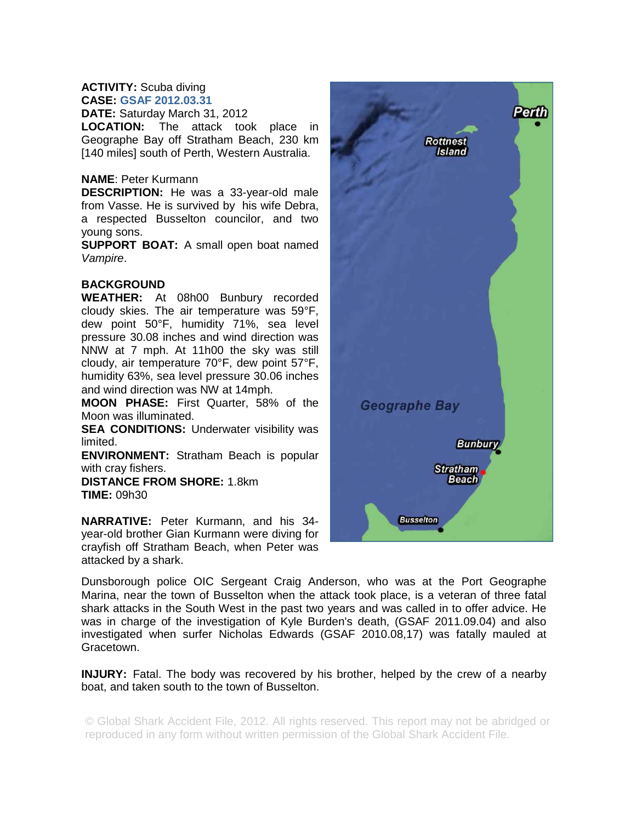## **ACTIVITY:** Scuba diving **CASE: GSAF 2012.03.31**

**DATE:** Saturday March 31, 2012

**LOCATION:** The attack took place in Geographe Bay off Stratham Beach, 230 km [140 miles] south of Perth, Western Australia.

## **NAME**: Peter Kurmann

**DESCRIPTION:** He was a 33-year-old male from Vasse. He is survived by his wife Debra, a respected Busselton councilor, and two young sons.

**SUPPORT BOAT:** A small open boat named *Vampire*.

## **BACKGROUND**

**WEATHER:** At 08h00 Bunbury recorded cloudy skies. The air temperature was 59°F, dew point 50°F, humidity 71%, sea level pressure 30.08 inches and wind direction was NNW at 7 mph. At 11h00 the sky was still cloudy, air temperature 70°F, dew point 57°F, humidity 63%, sea level pressure 30.06 inches and wind direction was NW at 14mph.

**MOON PHASE:** First Quarter, 58% of the Moon was illuminated.

**SEA CONDITIONS:** Underwater visibility was limited.

**ENVIRONMENT:** Stratham Beach is popular with cray fishers.

**DISTANCE FROM SHORE:** 1.8km **TIME:** 09h30

**NARRATIVE:** Peter Kurmann, and his 34 year-old brother Gian Kurmann were diving for crayfish off Stratham Beach, when Peter was attacked by a shark.

Perth **Rottnest Island** Geographe Bay **Bunbury Stratham Beach Busselton** 

Dunsborough police OIC Sergeant Craig Anderson, who was at the Port Geographe Marina, near the town of Busselton when the attack took place, is a veteran of three fatal shark attacks in the South West in the past two years and was called in to offer advice. He was in charge of the investigation of Kyle Burden's death, (GSAF 2011.09.04) and also investigated when surfer Nicholas Edwards (GSAF 2010.08,17) was fatally mauled at Gracetown.

**INJURY:** Fatal. The body was recovered by his brother, helped by the crew of a nearby boat, and taken south to the town of Busselton.

© Global Shark Accident File, 2012. All rights reserved. This report may not be abridged or reproduced in any form without written permission of the Global Shark Accident File.